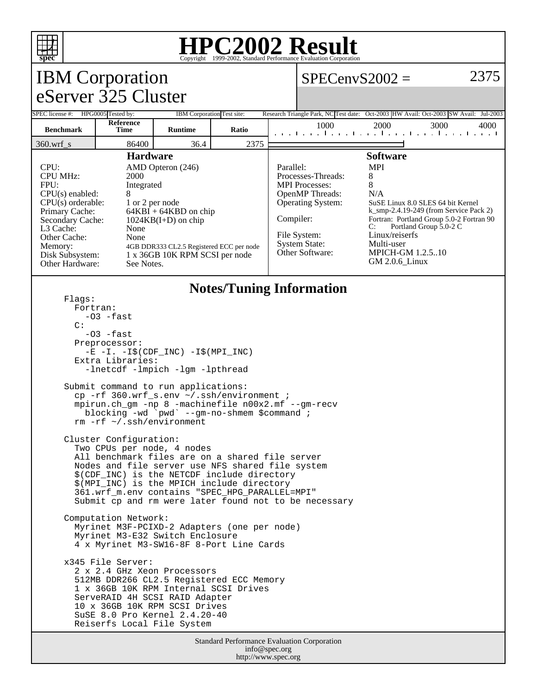

### **HPC2002 Result**  $\overline{\text{Copyright}} \textcircled{\scriptsize{1999-2002}}$ , Standard Performan

#### IBM Corporation eServer 325 Cluster  $SPECenvS2002 = 2375$ SPEC license #: HPG0005 Tested by: IBM Corporation Test site: Research Triangle Park, NC Test date: Oct-2003 HW Avail: Oct-2003 SW Avail: Jul-2003 **Benchmark Reference Runtime Ratio Runtime Ratio Runtime Ratio Runtime Ratio 1000 2000 3000 4000** 360.wrf\_s 86400 36.4 2375 **Hardware** CPU: AMD Opteron (246) CPU MHz: 2000 FPU: Integrated  $CPU(s)$  enabled:  $8$ CPU(s) orderable: 1 or 2 per node<br>Primary Cache: 64KBI + 64KB Primary Cache: 64KBI + 64KBD on chip<br>Secondary Cache: 1024KB(I+D) on chip  $1024KB(I+D)$  on chip L3 Cache: None Other Cache: None Memory: 4GB DDR333 CL2.5 Registered ECC per node<br>Disk Subsystem: 1 x 36GB 10K RPM SCSI per node 1 x 36GB 10K RPM SCSI per node Other Hardware: See Notes. **Software** Parallel: MPI Processes-Threads: 8 MPI Processes: 8 OpenMP Threads: N/A Operating System: SuSE Linux 8.0 SLES 64 bit Kernel k\_smp-2.4.19-249 (from Service Pack 2) Compiler: Fortran: Portland Group 5.0-2 Fortran 90<br>C: Portland Group 5.0-2 C Portland Group 5.0-2 C File System: Linux/reiserfs System State: Multi-user Other Software: MPICH-GM 1.2.5..10 GM 2.0.6\_Linux **Notes/Tuning Information** Flags: Fortran:  $-03$   $-fast$  $\cap$ :  $-03$   $-fast$  Preprocessor: -E -I. -I\$(CDF\_INC) -I\$(MPI\_INC) Extra Libraries: -lnetcdf -lmpich -lgm -lpthread

 Submit command to run applications: cp -rf 360.wrf\_s.env ~/.ssh/environment ; mpirun.ch\_gm -np 8 -machinefile n00x2.mf --gm-recv blocking -wd `pwd` --gm-no-shmem \$command ; rm -rf ~/.ssh/environment

 Cluster Configuration: Two CPUs per node, 4 nodes All benchmark files are on a shared file server Nodes and file server use NFS shared file system \$(CDF\_INC) is the NETCDF include directory \$(MPI\_INC) is the MPICH include directory 361.wrf\_m.env contains "SPEC\_HPG\_PARALLEL=MPI" Submit cp and rm were later found not to be necessary

 Computation Network: Myrinet M3F-PCIXD-2 Adapters (one per node) Myrinet M3-E32 Switch Enclosure 4 x Myrinet M3-SW16-8F 8-Port Line Cards

 x345 File Server: 2 x 2.4 GHz Xeon Processors 512MB DDR266 CL2.5 Registered ECC Memory 1 x 36GB 10K RPM Internal SCSI Drives ServeRAID 4H SCSI RAID Adapter 10 x 36GB 10K RPM SCSI Drives SuSE 8.0 Pro Kernel 2.4.20-40 Reiserfs Local File System

> Standard Performance Evaluation Corporation info@spec.org http://www.spec.org